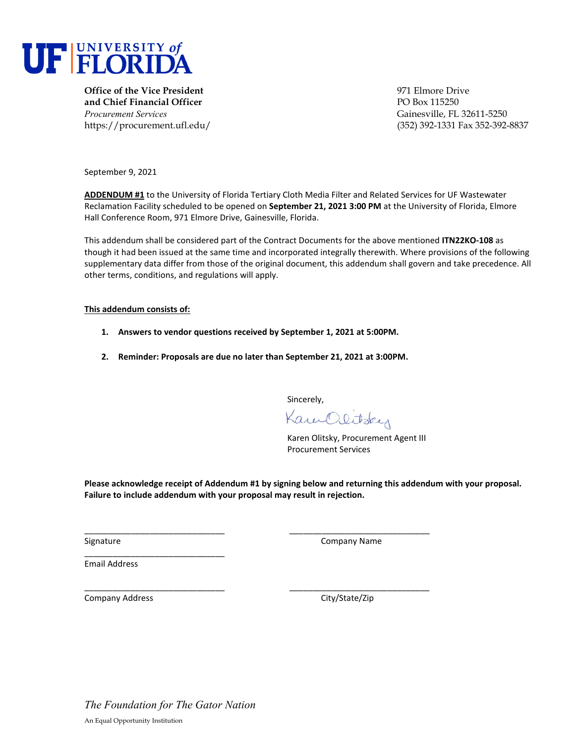

**Office of the Vice President 1971 Elmore Drive** 971 Elmore Drive **and Chief Financial Officer PO Box 115250** *Procurement Services* Gainesville, FL 32611-5250

https://procurement.ufl.edu/ (352) 392-1331 Fax 352-392-8837

September 9, 2021

**ADDENDUM #1** to the University of Florida Tertiary Cloth Media Filter and Related Services for UF Wastewater Reclamation Facility scheduled to be opened on **September 21, 2021 3:00 PM** at the University of Florida, Elmore Hall Conference Room, 971 Elmore Drive, Gainesville, Florida.

This addendum shall be considered part of the Contract Documents for the above mentioned **ITN22KO-108** as though it had been issued at the same time and incorporated integrally therewith. Where provisions of the following supplementary data differ from those of the original document, this addendum shall govern and take precedence. All other terms, conditions, and regulations will apply.

**This addendum consists of:** 

- **1. Answers to vendor questions received by September 1, 2021 at 5:00PM.**
- **2. Reminder: Proposals are due no later than September 21, 2021 at 3:00PM.**

\_\_\_\_\_\_\_\_\_\_\_\_\_\_\_\_\_\_\_\_\_\_\_\_\_\_\_\_\_\_ \_\_\_\_\_\_\_\_\_\_\_\_\_\_\_\_\_\_\_\_\_\_\_\_\_\_\_\_\_\_

Sincerely,

Kam Olitsky

Karen Olitsky, Procurement Agent III Procurement Services

**Please acknowledge receipt of Addendum #1 by signing below and returning this addendum with your proposal. Failure to include addendum with your proposal may result in rejection.** 

Signature Company Name

Email Address

\_\_\_\_\_\_\_\_\_\_\_\_\_\_\_\_\_\_\_\_\_\_\_\_\_\_\_\_\_\_ \_\_\_\_\_\_\_\_\_\_\_\_\_\_\_\_\_\_\_\_\_\_\_\_\_\_\_\_\_\_ Company Address **Company Address** City/State/Zip

\_\_\_\_\_\_\_\_\_\_\_\_\_\_\_\_\_\_\_\_\_\_\_\_\_\_\_\_\_\_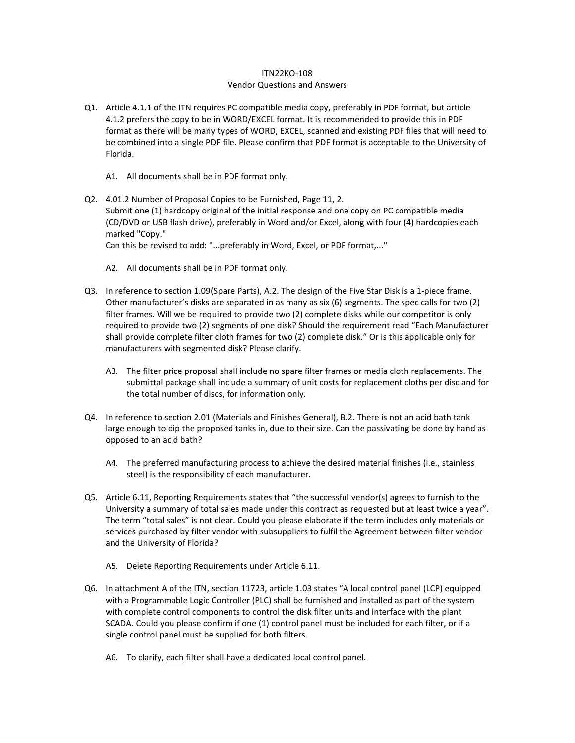## ITN22KO-108 Vendor Questions and Answers

- Q1. Article 4.1.1 of the ITN requires PC compatible media copy, preferably in PDF format, but article 4.1.2 prefers the copy to be in WORD/EXCEL format. It is recommended to provide this in PDF format as there will be many types of WORD, EXCEL, scanned and existing PDF files that will need to be combined into a single PDF file. Please confirm that PDF format is acceptable to the University of Florida.
	- A1. All documents shall be in PDF format only.
- Q2. 4.01.2 Number of Proposal Copies to be Furnished, Page 11, 2. Submit one (1) hardcopy original of the initial response and one copy on PC compatible media (CD/DVD or USB flash drive), preferably in Word and/or Excel, along with four (4) hardcopies each marked "Copy."

Can this be revised to add: "...preferably in Word, Excel, or PDF format,..."

- A2. All documents shall be in PDF format only.
- Q3. In reference to section 1.09(Spare Parts), A.2. The design of the Five Star Disk is a 1-piece frame. Other manufacturer's disks are separated in as many as six (6) segments. The spec calls for two (2) filter frames. Will we be required to provide two (2) complete disks while our competitor is only required to provide two (2) segments of one disk? Should the requirement read "Each Manufacturer shall provide complete filter cloth frames for two (2) complete disk." Or is this applicable only for manufacturers with segmented disk? Please clarify.
	- A3. The filter price proposal shall include no spare filter frames or media cloth replacements. The submittal package shall include a summary of unit costs for replacement cloths per disc and for the total number of discs, for information only.
- Q4. In reference to section 2.01 (Materials and Finishes General), B.2. There is not an acid bath tank large enough to dip the proposed tanks in, due to their size. Can the passivating be done by hand as opposed to an acid bath?
	- A4. The preferred manufacturing process to achieve the desired material finishes (i.e., stainless steel) is the responsibility of each manufacturer.
- Q5. Article 6.11, Reporting Requirements states that "the successful vendor(s) agrees to furnish to the University a summary of total sales made under this contract as requested but at least twice a year". The term "total sales" is not clear. Could you please elaborate if the term includes only materials or services purchased by filter vendor with subsuppliers to fulfil the Agreement between filter vendor and the University of Florida?
	- A5. Delete Reporting Requirements under Article 6.11.
- Q6. In attachment A of the ITN, section 11723, article 1.03 states "A local control panel (LCP) equipped with a Programmable Logic Controller (PLC) shall be furnished and installed as part of the system with complete control components to control the disk filter units and interface with the plant SCADA. Could you please confirm if one (1) control panel must be included for each filter, or if a single control panel must be supplied for both filters.
	- A6. To clarify, each filter shall have a dedicated local control panel.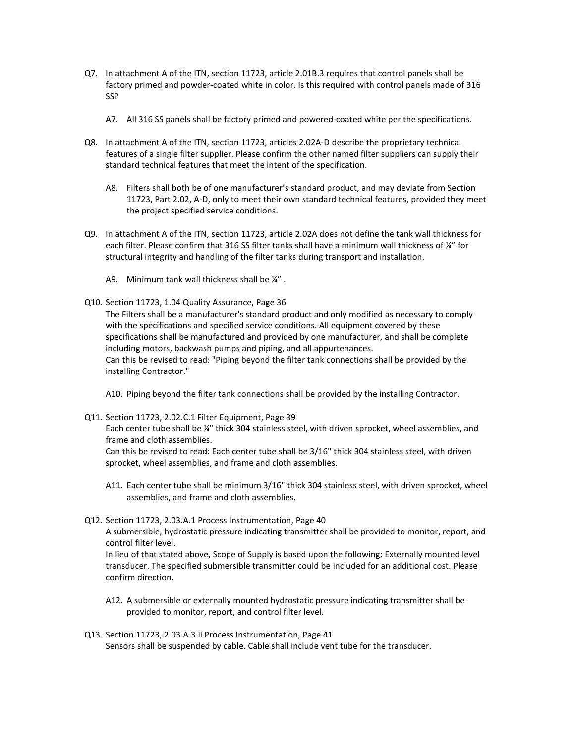- Q7. In attachment A of the ITN, section 11723, article 2.01B.3 requires that control panels shall be factory primed and powder-coated white in color. Is this required with control panels made of 316 SS?
	- A7. All 316 SS panels shall be factory primed and powered-coated white per the specifications.
- Q8. In attachment A of the ITN, section 11723, articles 2.02A-D describe the proprietary technical features of a single filter supplier. Please confirm the other named filter suppliers can supply their standard technical features that meet the intent of the specification.
	- A8. Filters shall both be of one manufacturer's standard product, and may deviate from Section 11723, Part 2.02, A-D, only to meet their own standard technical features, provided they meet the project specified service conditions.
- Q9. In attachment A of the ITN, section 11723, article 2.02A does not define the tank wall thickness for each filter. Please confirm that 316 SS filter tanks shall have a minimum wall thickness of ¼" for structural integrity and handling of the filter tanks during transport and installation.
	- A9. Minimum tank wall thickness shall be  $\frac{1}{4}$ ".
- Q10. Section 11723, 1.04 Quality Assurance, Page 36

The Filters shall be a manufacturer's standard product and only modified as necessary to comply with the specifications and specified service conditions. All equipment covered by these specifications shall be manufactured and provided by one manufacturer, and shall be complete including motors, backwash pumps and piping, and all appurtenances. Can this be revised to read: "Piping beyond the filter tank connections shall be provided by the installing Contractor."

A10. Piping beyond the filter tank connections shall be provided by the installing Contractor.

Q11. Section 11723, 2.02.C.1 Filter Equipment, Page 39

Each center tube shall be ¼" thick 304 stainless steel, with driven sprocket, wheel assemblies, and frame and cloth assemblies.

Can this be revised to read: Each center tube shall be 3/16" thick 304 stainless steel, with driven sprocket, wheel assemblies, and frame and cloth assemblies.

- A11. Each center tube shall be minimum 3/16" thick 304 stainless steel, with driven sprocket, wheel assemblies, and frame and cloth assemblies.
- Q12. Section 11723, 2.03.A.1 Process Instrumentation, Page 40

A submersible, hydrostatic pressure indicating transmitter shall be provided to monitor, report, and control filter level.

In lieu of that stated above, Scope of Supply is based upon the following: Externally mounted level transducer. The specified submersible transmitter could be included for an additional cost. Please confirm direction.

- A12. A submersible or externally mounted hydrostatic pressure indicating transmitter shall be provided to monitor, report, and control filter level.
- Q13. Section 11723, 2.03.A.3.ii Process Instrumentation, Page 41 Sensors shall be suspended by cable. Cable shall include vent tube for the transducer.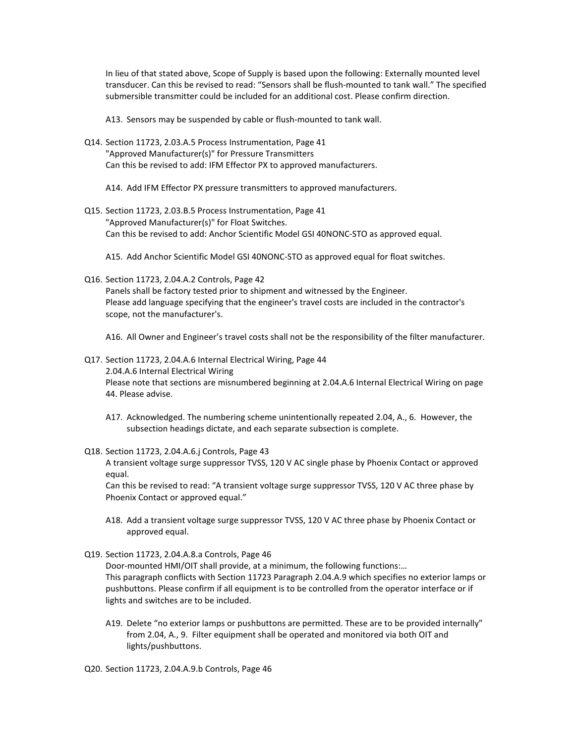In lieu of that stated above, Scope of Supply is based upon the following: Externally mounted level transducer. Can this be revised to read: "Sensors shall be flush-mounted to tank wall." The specified submersible transmitter could be included for an additional cost. Please confirm direction.

A13. Sensors may be suspended by cable or flush-mounted to tank wall.

- Q14. Section 11723, 2.03.A.5 Process Instrumentation, Page 41 "Approved Manufacturer(s)" for Pressure Transmitters Can this be revised to add: IFM Effector PX to approved manufacturers.
	- A14. Add IFM Effector PX pressure transmitters to approved manufacturers.
- Q15. Section 11723, 2.03.B.5 Process Instrumentation, Page 41 "Approved Manufacturer(s)" for Float Switches. Can this be revised to add: Anchor Scientific Model GSI 40NONC-STO as approved equal.
	- A15. Add Anchor Scientific Model GSI 40NONC-STO as approved equal for float switches.
- Q16. Section 11723, 2.04.A.2 Controls, Page 42

Panels shall be factory tested prior to shipment and witnessed by the Engineer. Please add language specifying that the engineer's travel costs are included in the contractor's scope, not the manufacturer's.

A16. All Owner and Engineer's travel costs shall not be the responsibility of the filter manufacturer.

- Q17. Section 11723, 2.04.A.6 Internal Electrical Wiring, Page 44 2.04.A.6 Internal Electrical Wiring Please note that sections are misnumbered beginning at 2.04.A.6 Internal Electrical Wiring on page 44. Please advise.
	- A17. Acknowledged. The numbering scheme unintentionally repeated 2.04, A., 6. However, the subsection headings dictate, and each separate subsection is complete.
- Q18. Section 11723, 2.04.A.6.j Controls, Page 43

A transient voltage surge suppressor TVSS, 120 V AC single phase by Phoenix Contact or approved equal.

Can this be revised to read: "A transient voltage surge suppressor TVSS, 120 V AC three phase by Phoenix Contact or approved equal."

- A18. Add a transient voltage surge suppressor TVSS, 120 V AC three phase by Phoenix Contact or approved equal.
- Q19. Section 11723, 2.04.A.8.a Controls, Page 46 Door-mounted HMI/OIT shall provide, at a minimum, the following functions:…

This paragraph conflicts with Section 11723 Paragraph 2.04.A.9 which specifies no exterior lamps or pushbuttons. Please confirm if all equipment is to be controlled from the operator interface or if lights and switches are to be included.

- A19. Delete "no exterior lamps or pushbuttons are permitted. These are to be provided internally" from 2.04, A., 9. Filter equipment shall be operated and monitored via both OIT and lights/pushbuttons.
- Q20. Section 11723, 2.04.A.9.b Controls, Page 46